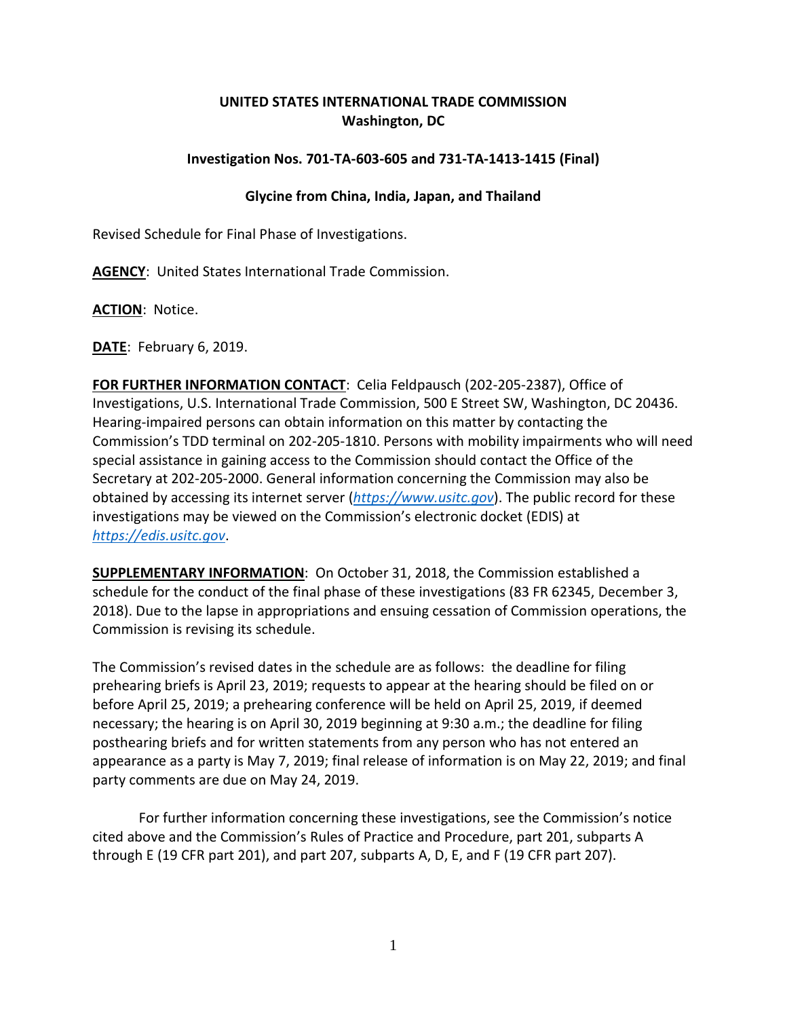## **UNITED STATES INTERNATIONAL TRADE COMMISSION Washington, DC**

## **Investigation Nos. 701-TA-603-605 and 731-TA-1413-1415 (Final)**

## **Glycine from China, India, Japan, and Thailand**

Revised Schedule for Final Phase of Investigations.

**AGENCY**: United States International Trade Commission.

**ACTION**: Notice.

**DATE**: February 6, 2019.

**FOR FURTHER INFORMATION CONTACT**: Celia Feldpausch (202-205-2387), Office of Investigations, U.S. International Trade Commission, 500 E Street SW, Washington, DC 20436. Hearing-impaired persons can obtain information on this matter by contacting the Commission's TDD terminal on 202-205-1810. Persons with mobility impairments who will need special assistance in gaining access to the Commission should contact the Office of the Secretary at 202-205-2000. General information concerning the Commission may also be obtained by accessing its internet server (*[https://www.usitc.gov](https://www.usitc.gov/)*). The public record for these investigations may be viewed on the Commission's electronic docket (EDIS) at *[https://edis.usitc.gov](https://edis.usitc.gov/)*.

**SUPPLEMENTARY INFORMATION**: On October 31, 2018, the Commission established a schedule for the conduct of the final phase of these investigations (83 FR 62345, December 3, 2018). Due to the lapse in appropriations and ensuing cessation of Commission operations, the Commission is revising its schedule.

The Commission's revised dates in the schedule are as follows: the deadline for filing prehearing briefs is April 23, 2019; requests to appear at the hearing should be filed on or before April 25, 2019; a prehearing conference will be held on April 25, 2019, if deemed necessary; the hearing is on April 30, 2019 beginning at 9:30 a.m.; the deadline for filing posthearing briefs and for written statements from any person who has not entered an appearance as a party is May 7, 2019; final release of information is on May 22, 2019; and final party comments are due on May 24, 2019.

For further information concerning these investigations, see the Commission's notice cited above and the Commission's Rules of Practice and Procedure, part 201, subparts A through E (19 CFR part 201), and part 207, subparts A, D, E, and F (19 CFR part 207).